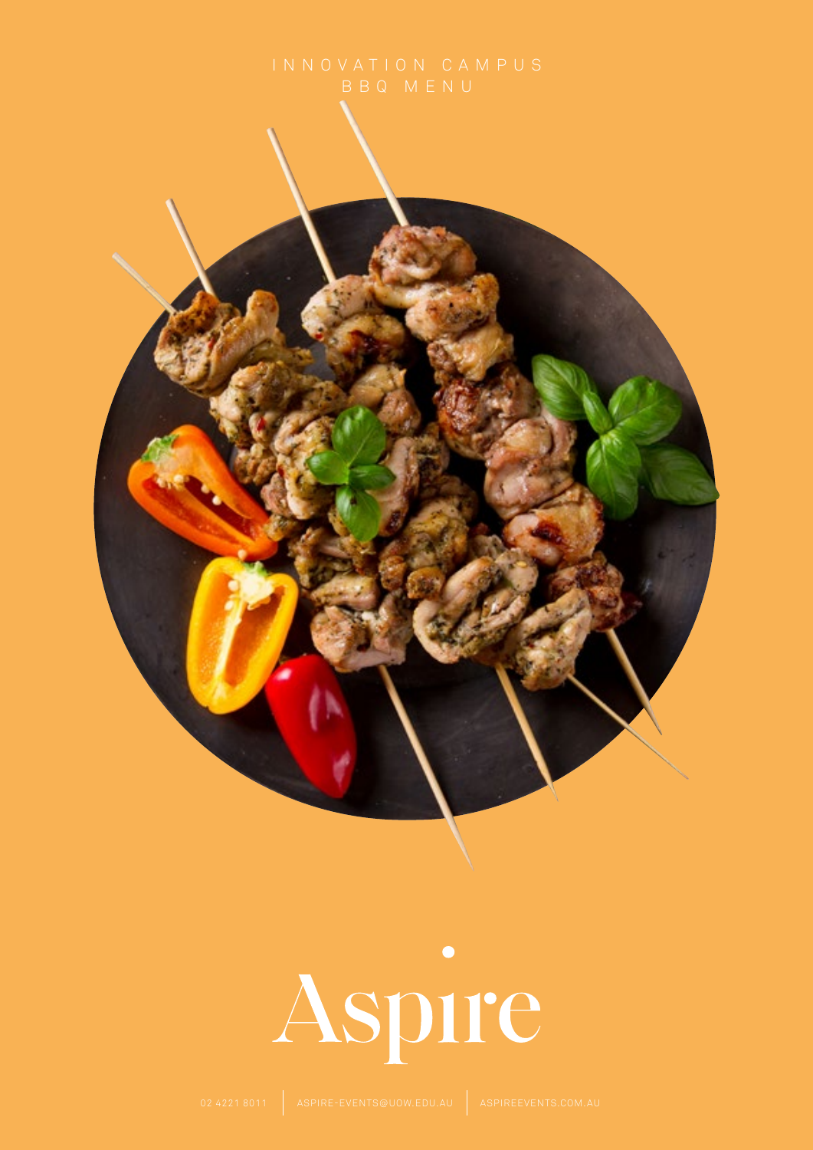